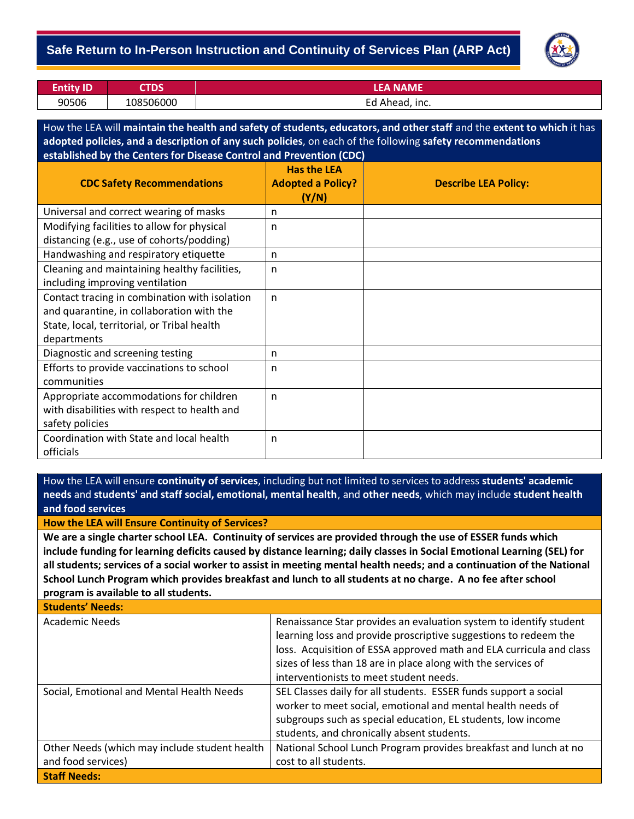### - **Safe Return to In-Person Instruction and Continuity of Services Plan (ARP Act)**



| <b>Entity ID</b> | TDS       | LEA NAME       |
|------------------|-----------|----------------|
| 90506            | 108506000 | Ed Ahead, inc. |

How the LEA will **maintain the health and safety of students, educators, and other staff** and the **extent to which** it has **adopted policies, and a description of any such policies**, on each of the following **safety recommendations established by the Centers for Disease Control and Prevention (CDC)**

| <b>CDC Safety Recommendations</b>             | <b>Has the LEA</b><br><b>Adopted a Policy?</b><br>(Y/N) | <b>Describe LEA Policy:</b> |
|-----------------------------------------------|---------------------------------------------------------|-----------------------------|
| Universal and correct wearing of masks        | n                                                       |                             |
| Modifying facilities to allow for physical    | n                                                       |                             |
| distancing (e.g., use of cohorts/podding)     |                                                         |                             |
| Handwashing and respiratory etiquette         | n                                                       |                             |
| Cleaning and maintaining healthy facilities,  | n                                                       |                             |
| including improving ventilation               |                                                         |                             |
| Contact tracing in combination with isolation | $\mathsf{n}$                                            |                             |
| and quarantine, in collaboration with the     |                                                         |                             |
| State, local, territorial, or Tribal health   |                                                         |                             |
| departments                                   |                                                         |                             |
| Diagnostic and screening testing              | n                                                       |                             |
| Efforts to provide vaccinations to school     | n                                                       |                             |
| communities                                   |                                                         |                             |
| Appropriate accommodations for children       | $\mathsf{n}$                                            |                             |
| with disabilities with respect to health and  |                                                         |                             |
| safety policies                               |                                                         |                             |
| Coordination with State and local health      | n                                                       |                             |
| officials                                     |                                                         |                             |

How the LEA will ensure **continuity of services**, including but not limited to services to address **students' academic needs** and **students' and staff social, emotional, mental health**, and **other needs**, which may include **student health and food services**

#### **How the LEA will Ensure Continuity of Services?**

**We are a single charter school LEA. Continuity of services are provided through the use of ESSER funds which include funding for learning deficits caused by distance learning; daily classes in Social Emotional Learning (SEL) for all students; services of a social worker to assist in meeting mental health needs; and a continuation of the National School Lunch Program which provides breakfast and lunch to all students at no charge. A no fee after school program is available to all students.**

**Students' Needs:** Academic Needs **Renaissance Star provides an evaluation system to identify student** learning loss and provide proscriptive suggestions to redeem the loss. Acquisition of ESSA approved math and ELA curricula and class sizes of less than 18 are in place along with the services of interventionists to meet student needs. Social, Emotional and Mental Health Needs | SEL Classes daily for all students. ESSER funds support a social worker to meet social, emotional and mental health needs of subgroups such as special education, EL students, low income students, and chronically absent students. Other Needs (which may include student health and food services) National School Lunch Program provides breakfast and lunch at no cost to all students. **Staff Needs:**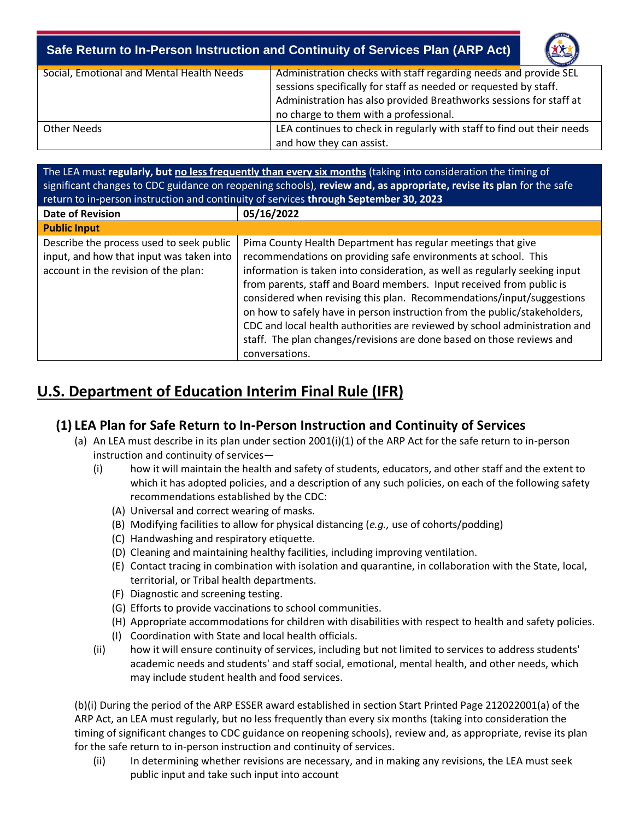# - **Safe Return to In-Person Instruction and Continuity of Services Plan (ARP Act)**



| Social, Emotional and Mental Health Needs | Administration checks with staff regarding needs and provide SEL<br>sessions specifically for staff as needed or requested by staff.<br>Administration has also provided Breathworks sessions for staff at<br>no charge to them with a professional. |
|-------------------------------------------|------------------------------------------------------------------------------------------------------------------------------------------------------------------------------------------------------------------------------------------------------|
| Other Needs                               | LEA continues to check in regularly with staff to find out their needs<br>and how they can assist.                                                                                                                                                   |

The LEA must **regularly, but no less frequently than every six months** (taking into consideration the timing of significant changes to CDC guidance on reopening schools), **review and, as appropriate, revise its plan** for the safe return to in-person instruction and continuity of services **through September 30, 2023**

| <b>Date of Revision</b>                                                                                                      | 05/16/2022                                                                                                                                                                                                                                                                                                                                                                                                                                                                                                                                                                                                           |
|------------------------------------------------------------------------------------------------------------------------------|----------------------------------------------------------------------------------------------------------------------------------------------------------------------------------------------------------------------------------------------------------------------------------------------------------------------------------------------------------------------------------------------------------------------------------------------------------------------------------------------------------------------------------------------------------------------------------------------------------------------|
| <b>Public Input</b>                                                                                                          |                                                                                                                                                                                                                                                                                                                                                                                                                                                                                                                                                                                                                      |
| Describe the process used to seek public<br>input, and how that input was taken into<br>account in the revision of the plan: | Pima County Health Department has regular meetings that give<br>recommendations on providing safe environments at school. This<br>information is taken into consideration, as well as regularly seeking input<br>from parents, staff and Board members. Input received from public is<br>considered when revising this plan. Recommendations/input/suggestions<br>on how to safely have in person instruction from the public/stakeholders,<br>CDC and local health authorities are reviewed by school administration and<br>staff. The plan changes/revisions are done based on those reviews and<br>conversations. |

# **U.S. Department of Education Interim Final Rule (IFR)**

# **(1) LEA Plan for Safe Return to In-Person Instruction and Continuity of Services**

- (a) An LEA must describe in its plan under section 2001(i)(1) of the ARP Act for the safe return to in-person instruction and continuity of services—
	- (i) how it will maintain the health and safety of students, educators, and other staff and the extent to which it has adopted policies, and a description of any such policies, on each of the following safety recommendations established by the CDC:
		- (A) Universal and correct wearing of masks.
		- (B) Modifying facilities to allow for physical distancing (*e.g.,* use of cohorts/podding)
		- (C) Handwashing and respiratory etiquette.
		- (D) Cleaning and maintaining healthy facilities, including improving ventilation.
		- (E) Contact tracing in combination with isolation and quarantine, in collaboration with the State, local, territorial, or Tribal health departments.
		- (F) Diagnostic and screening testing.
		- (G) Efforts to provide vaccinations to school communities.
		- (H) Appropriate accommodations for children with disabilities with respect to health and safety policies.
		- (I) Coordination with State and local health officials.
	- (ii) how it will ensure continuity of services, including but not limited to services to address students' academic needs and students' and staff social, emotional, mental health, and other needs, which may include student health and food services.

(b)(i) During the period of the ARP ESSER award established in section Start Printed Page 212022001(a) of the ARP Act, an LEA must regularly, but no less frequently than every six months (taking into consideration the timing of significant changes to CDC guidance on reopening schools), review and, as appropriate, revise its plan for the safe return to in-person instruction and continuity of services.

(ii) In determining whether revisions are necessary, and in making any revisions, the LEA must seek public input and take such input into account